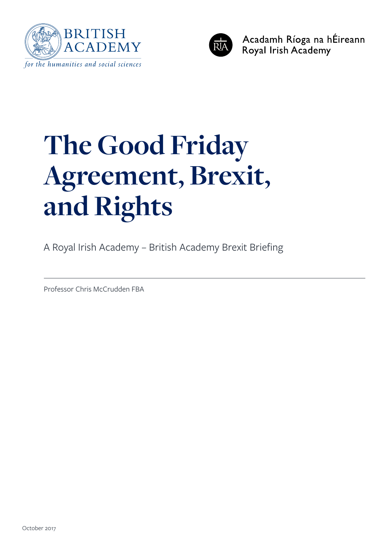



Acadamh Ríoga na hÉireann Royal Irish Academy

# **The Good Friday Agreement, Brexit, and Rights**

A Royal Irish Academy – British Academy Brexit Briefing

Professor Chris McCrudden FBA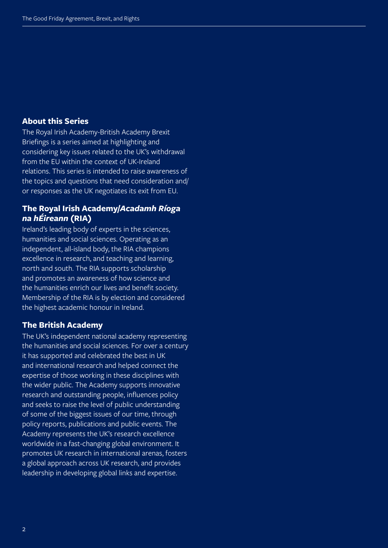#### **About this Series**

The Royal Irish Academy-British Academy Brexit Briefings is a series aimed at highlighting and considering key issues related to the UK's withdrawal from the EU within the context of UK-Ireland relations. This series is intended to raise awareness of the topics and questions that need consideration and/ or responses as the UK negotiates its exit from EU.

#### **The Royal Irish Academy/***Acadamh Ríoga na hÉireann* **(RIA)**

Ireland's leading body of experts in the sciences, humanities and social sciences. Operating as an independent, all-island body, the RIA champions excellence in research, and teaching and learning, north and south. The RIA supports scholarship and promotes an awareness of how science and the humanities enrich our lives and benefit society. Membership of the RIA is by election and considered the highest academic honour in Ireland.

#### **The British Academy**

The UK's independent national academy representing the humanities and social sciences. For over a century it has supported and celebrated the best in UK and international research and helped connect the expertise of those working in these disciplines with the wider public. The Academy supports innovative research and outstanding people, influences policy and seeks to raise the level of public understanding of some of the biggest issues of our time, through policy reports, publications and public events. The Academy represents the UK's research excellence worldwide in a fast-changing global environment. It promotes UK research in international arenas, fosters a global approach across UK research, and provides leadership in developing global links and expertise.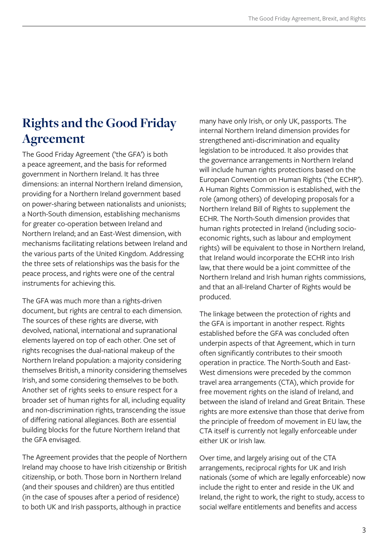## **Rights and the Good Friday Agreement**

The Good Friday Agreement ('the GFA') is both a peace agreement, and the basis for reformed government in Northern Ireland. It has three dimensions: an internal Northern Ireland dimension, providing for a Northern Ireland government based on power-sharing between nationalists and unionists; a North-South dimension, establishing mechanisms for greater co-operation between Ireland and Northern Ireland; and an East-West dimension, with mechanisms facilitating relations between Ireland and the various parts of the United Kingdom. Addressing the three sets of relationships was the basis for the peace process, and rights were one of the central instruments for achieving this.

The GFA was much more than a rights-driven document, but rights are central to each dimension. The sources of these rights are diverse, with devolved, national, international and supranational elements layered on top of each other. One set of rights recognises the dual-national makeup of the Northern Ireland population: a majority considering themselves British, a minority considering themselves Irish, and some considering themselves to be both. Another set of rights seeks to ensure respect for a broader set of human rights for all, including equality and non-discrimination rights, transcending the issue of differing national allegiances. Both are essential building blocks for the future Northern Ireland that the GFA envisaged.

The Agreement provides that the people of Northern Ireland may choose to have Irish citizenship or British citizenship, or both. Those born in Northern Ireland (and their spouses and children) are thus entitled (in the case of spouses after a period of residence) to both UK and Irish passports, although in practice

many have only Irish, or only UK, passports. The internal Northern Ireland dimension provides for strengthened anti-discrimination and equality legislation to be introduced. It also provides that the governance arrangements in Northern Ireland will include human rights protections based on the European Convention on Human Rights ('the ECHR'). A Human Rights Commission is established, with the role (among others) of developing proposals for a Northern Ireland Bill of Rights to supplement the ECHR. The North-South dimension provides that human rights protected in Ireland (including socioeconomic rights, such as labour and employment rights) will be equivalent to those in Northern Ireland, that Ireland would incorporate the ECHR into Irish law, that there would be a joint committee of the Northern Ireland and Irish human rights commissions, and that an all-Ireland Charter of Rights would be produced.

The linkage between the protection of rights and the GFA is important in another respect. Rights established before the GFA was concluded often underpin aspects of that Agreement, which in turn often significantly contributes to their smooth operation in practice. The North-South and East-West dimensions were preceded by the common travel area arrangements (CTA), which provide for free movement rights on the island of Ireland, and between the island of Ireland and Great Britain. These rights are more extensive than those that derive from the principle of freedom of movement in EU law, the CTA itself is currently not legally enforceable under either UK or Irish law.

Over time, and largely arising out of the CTA arrangements, reciprocal rights for UK and Irish nationals (some of which are legally enforceable) now include the right to enter and reside in the UK and Ireland, the right to work, the right to study, access to social welfare entitlements and benefits and access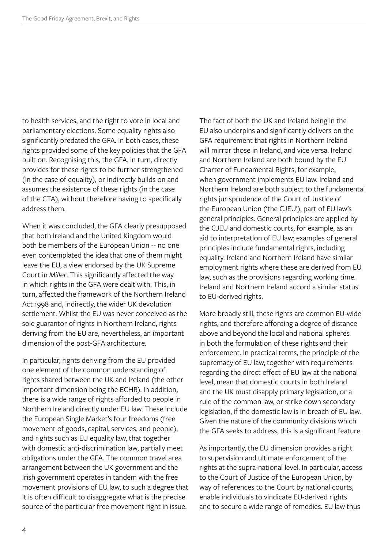to health services, and the right to vote in local and parliamentary elections. Some equality rights also significantly predated the GFA. In both cases, these rights provided some of the key policies that the GFA built on. Recognising this, the GFA, in turn, directly provides for these rights to be further strengthened (in the case of equality), or indirectly builds on and assumes the existence of these rights (in the case of the CTA), without therefore having to specifically address them.

When it was concluded, the GFA clearly presupposed that both Ireland and the United Kingdom would both be members of the European Union -- no one even contemplated the idea that one of them might leave the EU, a view endorsed by the UK Supreme Court in *Miller*. This significantly affected the way in which rights in the GFA were dealt with. This, in turn, affected the framework of the Northern Ireland Act 1998 and, indirectly, the wider UK devolution settlement. Whilst the EU was never conceived as the sole guarantor of rights in Northern Ireland, rights deriving from the EU are, nevertheless, an important dimension of the post-GFA architecture.

In particular, rights deriving from the EU provided one element of the common understanding of rights shared between the UK and Ireland (the other important dimension being the ECHR). In addition, there is a wide range of rights afforded to people in Northern Ireland directly under EU law. These include the European Single Market's four freedoms (free movement of goods, capital, services, and people), and rights such as EU equality law, that together with domestic anti-discrimination law, partially meet obligations under the GFA. The common travel area arrangement between the UK government and the Irish government operates in tandem with the free movement provisions of EU law, to such a degree that it is often difficult to disaggregate what is the precise source of the particular free movement right in issue.

The fact of both the UK and Ireland being in the EU also underpins and significantly delivers on the GFA requirement that rights in Northern Ireland will mirror those in Ireland, and vice versa. Ireland and Northern Ireland are both bound by the EU Charter of Fundamental Rights, for example, when government implements EU law. Ireland and Northern Ireland are both subject to the fundamental rights jurisprudence of the Court of Justice of the European Union ('the CJEU'), part of EU law's general principles. General principles are applied by the CJEU and domestic courts, for example, as an aid to interpretation of EU law; examples of general principles include fundamental rights, including equality. Ireland and Northern Ireland have similar employment rights where these are derived from EU law, such as the provisions regarding working time. Ireland and Northern Ireland accord a similar status to EU-derived rights.

More broadly still, these rights are common EU-wide rights, and therefore affording a degree of distance above and beyond the local and national spheres in both the formulation of these rights and their enforcement. In practical terms, the principle of the supremacy of EU law, together with requirements regarding the direct effect of EU law at the national level, mean that domestic courts in both Ireland and the UK must disapply primary legislation, or a rule of the common law, or strike down secondary legislation, if the domestic law is in breach of EU law. Given the nature of the community divisions which the GFA seeks to address, this is a significant feature.

As importantly, the EU dimension provides a right to supervision and ultimate enforcement of the rights at the supra-national level. In particular, access to the Court of Justice of the European Union, by way of references to the Court by national courts, enable individuals to vindicate EU-derived rights and to secure a wide range of remedies. EU law thus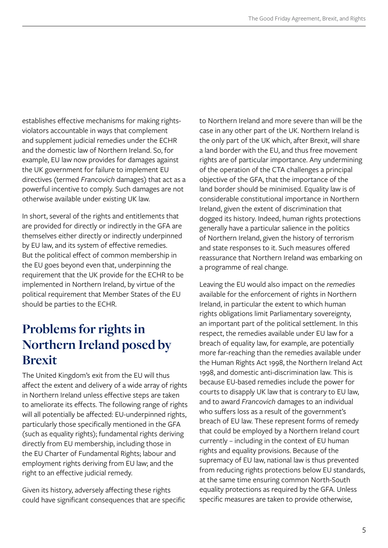establishes effective mechanisms for making rightsviolators accountable in ways that complement and supplement judicial remedies under the ECHR and the domestic law of Northern Ireland. So, for example, EU law now provides for damages against the UK government for failure to implement EU directives (termed *Francovich* damages) that act as a powerful incentive to comply. Such damages are not otherwise available under existing UK law.

In short, several of the rights and entitlements that are provided for directly or indirectly in the GFA are themselves either directly or indirectly underpinned by EU law, and its system of effective remedies. But the political effect of common membership in the EU goes beyond even that, underpinning the requirement that the UK provide for the ECHR to be implemented in Northern Ireland, by virtue of the political requirement that Member States of the EU should be parties to the ECHR.

## **Problems for rights in Northern Ireland posed by Brexit**

The United Kingdom's exit from the EU will thus affect the extent and delivery of a wide array of rights in Northern Ireland unless effective steps are taken to ameliorate its effects. The following range of rights will all potentially be affected: EU-underpinned rights, particularly those specifically mentioned in the GFA (such as equality rights); fundamental rights deriving directly from EU membership, including those in the EU Charter of Fundamental Rights; labour and employment rights deriving from EU law; and the right to an effective judicial remedy.

Given its history, adversely affecting these rights could have significant consequences that are specific to Northern Ireland and more severe than will be the case in any other part of the UK. Northern Ireland is the only part of the UK which, after Brexit, will share a land border with the EU, and thus free movement rights are of particular importance. Any undermining of the operation of the CTA challenges a principal objective of the GFA, that the importance of the land border should be minimised. Equality law is of considerable constitutional importance in Northern Ireland, given the extent of discrimination that dogged its history. Indeed, human rights protections generally have a particular salience in the politics of Northern Ireland, given the history of terrorism and state responses to it. Such measures offered reassurance that Northern Ireland was embarking on a programme of real change.

Leaving the EU would also impact on the *remedies* available for the enforcement of rights in Northern Ireland, in particular the extent to which human rights obligations limit Parliamentary sovereignty, an important part of the political settlement. In this respect, the remedies available under EU law for a breach of equality law, for example, are potentially more far-reaching than the remedies available under the Human Rights Act 1998, the Northern Ireland Act 1998, and domestic anti-discrimination law. This is because EU-based remedies include the power for courts to disapply UK law that is contrary to EU law, and to award *Francovich* damages to an individual who suffers loss as a result of the government's breach of EU law. These represent forms of remedy that could be employed by a Northern Ireland court currently – including in the context of EU human rights and equality provisions. Because of the supremacy of EU law, national law is thus prevented from reducing rights protections below EU standards, at the same time ensuring common North-South equality protections as required by the GFA. Unless specific measures are taken to provide otherwise,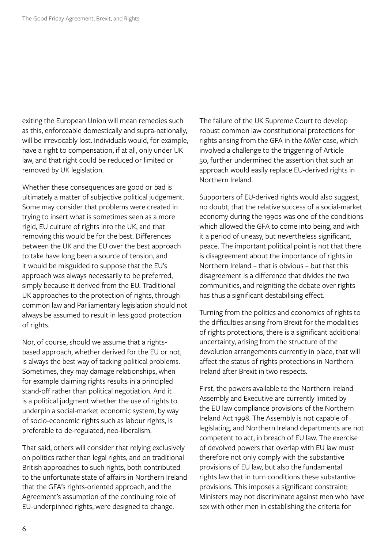exiting the European Union will mean remedies such as this, enforceable domestically and supra-nationally, will be irrevocably lost. Individuals would, for example, have a right to compensation, if at all, only under UK law, and that right could be reduced or limited or removed by UK legislation.

Whether these consequences are good or bad is ultimately a matter of subjective political judgement. Some may consider that problems were created in trying to insert what is sometimes seen as a more rigid, EU culture of rights into the UK, and that removing this would be for the best. Differences between the UK and the EU over the best approach to take have long been a source of tension, and it would be misguided to suppose that the EU's approach was always necessarily to be preferred, simply because it derived from the EU. Traditional UK approaches to the protection of rights, through common law and Parliamentary legislation should not always be assumed to result in less good protection of rights.

Nor, of course, should we assume that a rightsbased approach, whether derived for the EU or not, is always the best way of tacking political problems. Sometimes, they may damage relationships, when for example claiming rights results in a principled stand-off rather than political negotiation. And it is a political judgment whether the use of rights to underpin a social-market economic system, by way of socio-economic rights such as labour rights, is preferable to de-regulated, neo-liberalism.

That said, others will consider that relying exclusively on politics rather than legal rights, and on traditional British approaches to such rights, both contributed to the unfortunate state of affairs in Northern Ireland that the GFA's rights-oriented approach, and the Agreement's assumption of the continuing role of EU-underpinned rights, were designed to change.

The failure of the UK Supreme Court to develop robust common law constitutional protections for rights arising from the GFA in the *Miller* case, which involved a challenge to the triggering of Article 50, further undermined the assertion that such an approach would easily replace EU-derived rights in Northern Ireland.

Supporters of EU-derived rights would also suggest, no doubt, that the relative success of a social-market economy during the 1990s was one of the conditions which allowed the GFA to come into being, and with it a period of uneasy, but nevertheless significant, peace. The important political point is not that there is disagreement about the importance of rights in Northern Ireland – that is obvious – but that this disagreement is a difference that divides the two communities, and reigniting the debate over rights has thus a significant destabilising effect.

Turning from the politics and economics of rights to the difficulties arising from Brexit for the modalities of rights protections, there is a significant additional uncertainty, arising from the structure of the devolution arrangements currently in place, that will affect the status of rights protections in Northern Ireland after Brexit in two respects.

First, the powers available to the Northern Ireland Assembly and Executive are currently limited by the EU law compliance provisions of the Northern Ireland Act 1998. The Assembly is not capable of legislating, and Northern Ireland departments are not competent to act, in breach of EU law. The exercise of devolved powers that overlap with EU law must therefore not only comply with the substantive provisions of EU law, but also the fundamental rights law that in turn conditions these substantive provisions. This imposes a significant constraint; Ministers may not discriminate against men who have sex with other men in establishing the criteria for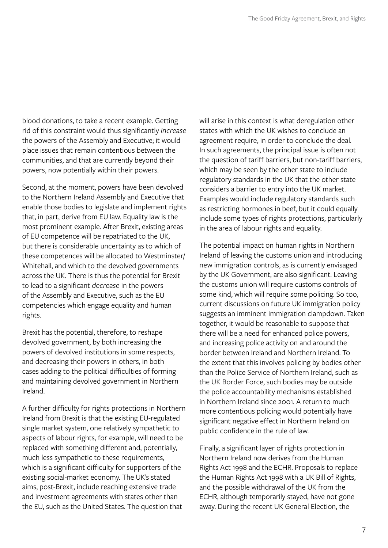blood donations, to take a recent example. Getting rid of this constraint would thus significantly *increase* the powers of the Assembly and Executive; it would place issues that remain contentious between the communities, and that are currently beyond their powers, now potentially within their powers.

Second, at the moment, powers have been devolved to the Northern Ireland Assembly and Executive that enable those bodies to legislate and implement rights that, in part, derive from EU law. Equality law is the most prominent example. After Brexit, existing areas of EU competence will be repatriated to the UK, but there is considerable uncertainty as to which of these competences will be allocated to Westminster/ Whitehall, and which to the devolved governments across the UK. There is thus the potential for Brexit to lead to a significant *decrease* in the powers of the Assembly and Executive, such as the EU competencies which engage equality and human rights.

Brexit has the potential, therefore, to reshape devolved government, by both increasing the powers of devolved institutions in some respects, and decreasing their powers in others, in both cases adding to the political difficulties of forming and maintaining devolved government in Northern Ireland.

A further difficulty for rights protections in Northern Ireland from Brexit is that the existing EU-regulated single market system, one relatively sympathetic to aspects of labour rights, for example, will need to be replaced with something different and, potentially, much less sympathetic to these requirements, which is a significant difficulty for supporters of the existing social-market economy. The UK's stated aims, post-Brexit, include reaching extensive trade and investment agreements with states other than the EU, such as the United States. The question that

will arise in this context is what deregulation other states with which the UK wishes to conclude an agreement require, in order to conclude the deal. In such agreements, the principal issue is often not the question of tariff barriers, but non-tariff barriers, which may be seen by the other state to include regulatory standards in the UK that the other state considers a barrier to entry into the UK market. Examples would include regulatory standards such as restricting hormones in beef, but it could equally include some types of rights protections, particularly in the area of labour rights and equality.

The potential impact on human rights in Northern Ireland of leaving the customs union and introducing new immigration controls, as is currently envisaged by the UK Government, are also significant. Leaving the customs union will require customs controls of some kind, which will require some policing. So too, current discussions on future UK immigration policy suggests an imminent immigration clampdown. Taken together, it would be reasonable to suppose that there will be a need for enhanced police powers, and increasing police activity on and around the border between Ireland and Northern Ireland. To the extent that this involves policing by bodies other than the Police Service of Northern Ireland, such as the UK Border Force, such bodies may be outside the police accountability mechanisms established in Northern Ireland since 2001. A return to much more contentious policing would potentially have significant negative effect in Northern Ireland on public confidence in the rule of law.

Finally, a significant layer of rights protection in Northern Ireland now derives from the Human Rights Act 1998 and the ECHR. Proposals to replace the Human Rights Act 1998 with a UK Bill of Rights, and the possible withdrawal of the UK from the ECHR, although temporarily stayed, have not gone away. During the recent UK General Election, the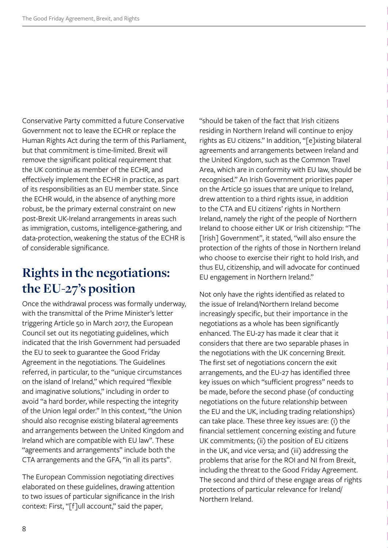Conservative Party committed a future Conservative Government not to leave the ECHR or replace the Human Rights Act during the term of this Parliament, but that commitment is time-limited. Brexit will remove the significant political requirement that the UK continue as member of the ECHR, and effectively implement the ECHR in practice, as part of its responsibilities as an EU member state. Since the ECHR would, in the absence of anything more robust, be the primary external constraint on new post-Brexit UK-Ireland arrangements in areas such as immigration, customs, intelligence-gathering, and data-protection, weakening the status of the ECHR is of considerable significance.

## **Rights in the negotiations: the EU-27's position**

Once the withdrawal process was formally underway, with the transmittal of the Prime Minister's letter triggering Article 50 in March 2017, the European Council set out its negotiating guidelines, which indicated that the Irish Government had persuaded the EU to seek to guarantee the Good Friday Agreement in the negotiations. The Guidelines referred, in particular, to the "unique circumstances on the island of Ireland," which required "flexible and imaginative solutions," including in order to avoid "a hard border, while respecting the integrity of the Union legal order." In this context, "the Union should also recognise existing bilateral agreements and arrangements between the United Kingdom and Ireland which are compatible with EU law". These "agreements and arrangements" include both the CTA arrangements and the GFA, "in all its parts".

The European Commission negotiating directives elaborated on these guidelines, drawing attention to two issues of particular significance in the Irish context: First, "[f]ull account," said the paper,

"should be taken of the fact that Irish citizens residing in Northern Ireland will continue to enjoy rights as EU citizens." In addition, "[e]xisting bilateral agreements and arrangements between Ireland and the United Kingdom, such as the Common Travel Area, which are in conformity with EU law, should be recognised." An Irish Government priorities paper on the Article 50 issues that are unique to Ireland, drew attention to a third rights issue, in addition to the CTA and EU citizens' rights in Northern Ireland, namely the right of the people of Northern Ireland to choose either UK or Irish citizenship: "The [Irish] Government", it stated, "will also ensure the protection of the rights of those in Northern Ireland who choose to exercise their right to hold Irish, and thus EU, citizenship, and will advocate for continued EU engagement in Northern Ireland."

Not only have the rights identified as related to the issue of Ireland/Northern Ireland become increasingly specific, but their importance in the negotiations as a whole has been significantly enhanced. The EU-27 has made it clear that it considers that there are two separable phases in the negotiations with the UK concerning Brexit. The first set of negotiations concern the exit arrangements, and the EU-27 has identified three key issues on which "sufficient progress" needs to be made, before the second phase (of conducting negotiations on the future relationship between the EU and the UK, including trading relationships) can take place. These three key issues are: (i) the financial settlement concerning existing and future UK commitments; (ii) the position of EU citizens in the UK, and vice versa; and (iii) addressing the problems that arise for the ROI and NI from Brexit, including the threat to the Good Friday Agreement. The second and third of these engage areas of rights protections of particular relevance for Ireland/ Northern Ireland.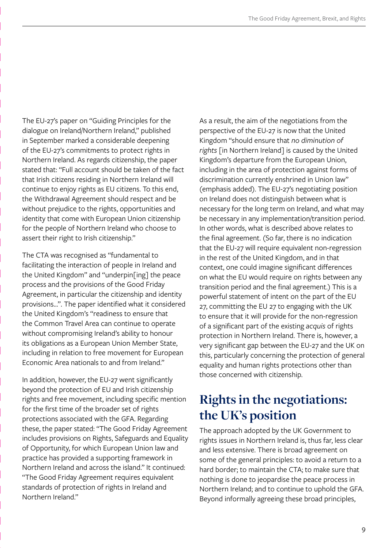The EU-27's paper on "Guiding Principles for the dialogue on Ireland/Northern Ireland," published in September marked a considerable deepening of the EU-27's commitments to protect rights in Northern Ireland. As regards citizenship, the paper stated that: "Full account should be taken of the fact that Irish citizens residing in Northern Ireland will continue to enjoy rights as EU citizens. To this end, the Withdrawal Agreement should respect and be without prejudice to the rights, opportunities and identity that come with European Union citizenship for the people of Northern Ireland who choose to assert their right to Irish citizenship."

The CTA was recognised as "fundamental to facilitating the interaction of people in Ireland and the United Kingdom" and "underpin[ing] the peace process and the provisions of the Good Friday Agreement, in particular the citizenship and identity provisions…". The paper identified what it considered the United Kingdom's "readiness to ensure that the Common Travel Area can continue to operate without compromising Ireland's ability to honour its obligations as a European Union Member State, including in relation to free movement for European Economic Area nationals to and from Ireland."

In addition, however, the EU-27 went significantly beyond the protection of EU and Irish citizenship rights and free movement, including specific mention for the first time of the broader set of rights protections associated with the GFA. Regarding these, the paper stated: "The Good Friday Agreement includes provisions on Rights, Safeguards and Equality of Opportunity, for which European Union law and practice has provided a supporting framework in Northern Ireland and across the island." It continued: "The Good Friday Agreement requires equivalent standards of protection of rights in Ireland and Northern Ireland."

As a result, the aim of the negotiations from the perspective of the EU-27 is now that the United Kingdom "should ensure that *no diminution of rights* [in Northern Ireland] is caused by the United Kingdom's departure from the European Union, including in the area of protection against forms of discrimination currently enshrined in Union law" (emphasis added). The EU-27's negotiating position on Ireland does not distinguish between what is necessary for the long term on Ireland, and what may be necessary in any implementation/transition period. In other words, what is described above relates to the final agreement. (So far, there is no indication that the EU-27 will require equivalent non-regression in the rest of the United Kingdom, and in that context, one could imagine significant differences on what the EU would require on rights between any transition period and the final agreement.) This is a powerful statement of intent on the part of the EU 27, committing the EU 27 to engaging with the UK to ensure that it will provide for the non-regression of a significant part of the existing *acquis* of rights protection in Northern Ireland. There is, however, a very significant gap between the EU-27 and the UK on this, particularly concerning the protection of general equality and human rights protections other than those concerned with citizenship.

## **Rights in the negotiations: the UK's position**

The approach adopted by the UK Government to rights issues in Northern Ireland is, thus far, less clear and less extensive. There is broad agreement on some of the general principles: to avoid a return to a hard border; to maintain the CTA; to make sure that nothing is done to jeopardise the peace process in Northern Ireland; and to continue to uphold the GFA. Beyond informally agreeing these broad principles,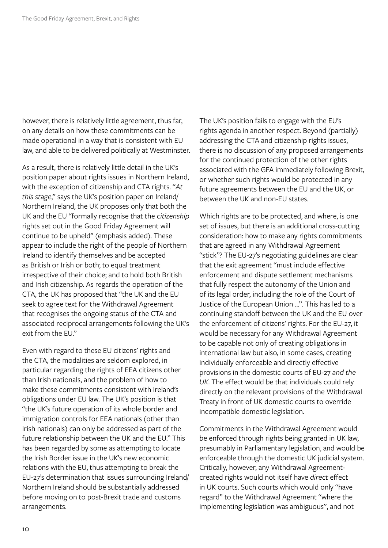however, there is relatively little agreement, thus far, on any details on how these commitments can be made operational in a way that is consistent with EU law, and able to be delivered politically at Westminster.

As a result, there is relatively little detail in the UK's position paper about rights issues in Northern Ireland, with the exception of citizenship and CTA rights. "*At this stage*," says the UK's position paper on Ireland/ Northern Ireland, the UK proposes only that both the UK and the EU "formally recognise that the *citizenship* rights set out in the Good Friday Agreement will continue to be upheld" (emphasis added). These appear to include the right of the people of Northern Ireland to identify themselves and be accepted as British or Irish or both; to equal treatment irrespective of their choice; and to hold both British and Irish citizenship. As regards the operation of the CTA, the UK has proposed that "the UK and the EU seek to agree text for the Withdrawal Agreement that recognises the ongoing status of the CTA and associated reciprocal arrangements following the UK's exit from the FU"

Even with regard to these EU citizens' rights and the CTA, the modalities are seldom explored, in particular regarding the rights of EEA citizens other than Irish nationals, and the problem of how to make these commitments consistent with Ireland's obligations under EU law. The UK's position is that "the UK's future operation of its whole border and immigration controls for EEA nationals (other than Irish nationals) can only be addressed as part of the future relationship between the UK and the EU." This has been regarded by some as attempting to locate the Irish Border issue in the UK's new economic relations with the EU, thus attempting to break the EU-27's determination that issues surrounding Ireland/ Northern Ireland should be substantially addressed before moving on to post-Brexit trade and customs arrangements.

The UK's position fails to engage with the EU's rights agenda in another respect. Beyond (partially) addressing the CTA and citizenship rights issues, there is no discussion of any proposed arrangements for the continued protection of the other rights associated with the GFA immediately following Brexit, or whether such rights would be protected in any future agreements between the EU and the UK, or between the UK and non-EU states.

Which rights are to be protected, and where, is one set of issues, but there is an additional cross-cutting consideration: how to make any rights commitments that are agreed in any Withdrawal Agreement "stick"? The EU-27's negotiating guidelines are clear that the exit agreement "must include effective enforcement and dispute settlement mechanisms that fully respect the autonomy of the Union and of its legal order, including the role of the Court of Justice of the European Union …". This has led to a continuing standoff between the UK and the EU over the enforcement of citizens' rights. For the EU-27, it would be necessary for any Withdrawal Agreement to be capable not only of creating obligations in international law but also, in some cases, creating individually enforceable and directly effective provisions in the domestic courts of EU-27 *and the UK*. The effect would be that individuals could rely directly on the relevant provisions of the Withdrawal Treaty in front of UK domestic courts to override incompatible domestic legislation.

Commitments in the Withdrawal Agreement would be enforced through rights being granted in UK law, presumably in Parliamentary legislation, and would be enforceable through the domestic UK judicial system. Critically, however, any Withdrawal Agreementcreated rights would not itself have *direct* effect in UK courts. Such courts which would only "have regard" to the Withdrawal Agreement "where the implementing legislation was ambiguous", and not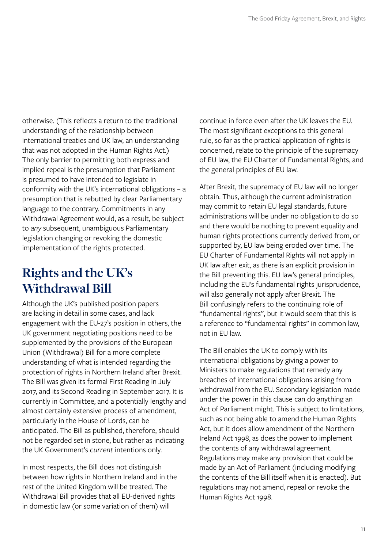otherwise. (This reflects a return to the traditional understanding of the relationship between international treaties and UK law, an understanding that was not adopted in the Human Rights Act.) The only barrier to permitting both express and implied repeal is the presumption that Parliament is presumed to have intended to legislate in conformity with the UK's international obligations – a presumption that is rebutted by clear Parliamentary language to the contrary. Commitments in any Withdrawal Agreement would, as a result, be subject to *any* subsequent, unambiguous Parliamentary legislation changing or revoking the domestic implementation of the rights protected.

## **Rights and the UK's Withdrawal Bill**

Although the UK's published position papers are lacking in detail in some cases, and lack engagement with the EU-27's position in others, the UK government negotiating positions need to be supplemented by the provisions of the European Union (Withdrawal) Bill for a more complete understanding of what is intended regarding the protection of rights in Northern Ireland after Brexit. The Bill was given its formal First Reading in July 2017, and its Second Reading in September 2017. It is currently in Committee, and a potentially lengthy and almost certainly extensive process of amendment, particularly in the House of Lords, can be anticipated. The Bill as published, therefore, should not be regarded set in stone, but rather as indicating the UK Government's *current* intentions only.

In most respects, the Bill does not distinguish between how rights in Northern Ireland and in the rest of the United Kingdom will be treated. The Withdrawal Bill provides that all EU-derived rights in domestic law (or some variation of them) will

continue in force even after the UK leaves the EU. The most significant exceptions to this general rule, so far as the practical application of rights is concerned, relate to the principle of the supremacy of EU law, the EU Charter of Fundamental Rights, and the general principles of EU law.

After Brexit, the supremacy of EU law will no longer obtain. Thus, although the current administration may commit to retain EU legal standards, future administrations will be under no obligation to do so and there would be nothing to prevent equality and human rights protections currently derived from, or supported by, EU law being eroded over time. The EU Charter of Fundamental Rights will not apply in UK law after exit, as there is an explicit provision in the Bill preventing this. EU law's general principles, including the EU's fundamental rights jurisprudence, will also generally not apply after Brexit. The Bill confusingly refers to the continuing role of "fundamental rights", but it would seem that this is a reference to "fundamental rights" in common law, not in EU law.

The Bill enables the UK to comply with its international obligations by giving a power to Ministers to make regulations that remedy any breaches of international obligations arising from withdrawal from the EU. Secondary legislation made under the power in this clause can do anything an Act of Parliament might. This is subject to limitations, such as not being able to amend the Human Rights Act, but it does allow amendment of the Northern Ireland Act 1998, as does the power to implement the contents of any withdrawal agreement. Regulations may make any provision that could be made by an Act of Parliament (including modifying the contents of the Bill itself when it is enacted). But regulations may not amend, repeal or revoke the Human Rights Act 1998.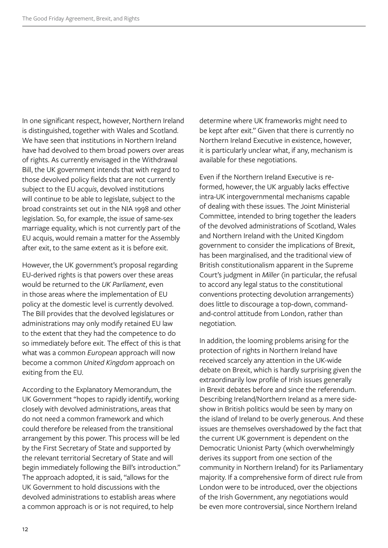In one significant respect, however, Northern Ireland is distinguished, together with Wales and Scotland. We have seen that institutions in Northern Ireland have had devolved to them broad powers over areas of rights. As currently envisaged in the Withdrawal Bill, the UK government intends that with regard to those devolved policy fields that are not currently subject to the EU *acquis*, devolved institutions will continue to be able to legislate, subject to the broad constraints set out in the NIA 1998 and other legislation. So, for example, the issue of same-sex marriage equality, which is not currently part of the EU acquis, would remain a matter for the Assembly after exit, to the same extent as it is before exit.

However, the UK government's proposal regarding EU-derived rights is that powers over these areas would be returned to the *UK Parliament*, even in those areas where the implementation of EU policy at the domestic level is currently devolved. The Bill provides that the devolved legislatures or administrations may only modify retained EU law to the extent that they had the competence to do so immediately before exit. The effect of this is that what was a common *European* approach will now become a common *United Kingdom* approach on exiting from the EU.

According to the Explanatory Memorandum, the UK Government "hopes to rapidly identify, working closely with devolved administrations, areas that do not need a common framework and which could therefore be released from the transitional arrangement by this power. This process will be led by the First Secretary of State and supported by the relevant territorial Secretary of State and will begin immediately following the Bill's introduction." The approach adopted, it is said, "allows for the UK Government to hold discussions with the devolved administrations to establish areas where a common approach is or is not required, to help

determine where UK frameworks might need to be kept after exit." Given that there is currently no Northern Ireland Executive in existence, however, it is particularly unclear what, if any, mechanism is available for these negotiations.

Even if the Northern Ireland Executive is reformed, however, the UK arguably lacks effective intra-UK intergovernmental mechanisms capable of dealing with these issues. The Joint Ministerial Committee, intended to bring together the leaders of the devolved administrations of Scotland, Wales and Northern Ireland with the United Kingdom government to consider the implications of Brexit, has been marginalised, and the traditional view of British constitutionalism apparent in the Supreme Court's judgment in *Miller* (in particular, the refusal to accord any legal status to the constitutional conventions protecting devolution arrangements) does little to discourage a top-down, commandand-control attitude from London, rather than negotiation.

In addition, the looming problems arising for the protection of rights in Northern Ireland have received scarcely any attention in the UK-wide debate on Brexit, which is hardly surprising given the extraordinarily low profile of Irish issues generally in Brexit debates before and since the referendum. Describing Ireland/Northern Ireland as a mere sideshow in British politics would be seen by many on the island of Ireland to be overly generous. And these issues are themselves overshadowed by the fact that the current UK government is dependent on the Democratic Unionist Party (which overwhelmingly derives its support from one section of the community in Northern Ireland) for its Parliamentary majority. If a comprehensive form of direct rule from London were to be introduced, over the objections of the Irish Government, any negotiations would be even more controversial, since Northern Ireland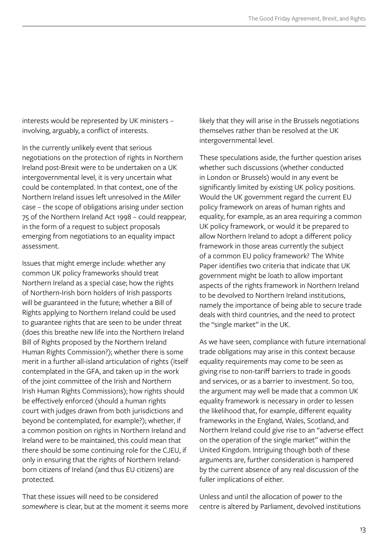interests would be represented by UK ministers – involving, arguably, a conflict of interests.

In the currently unlikely event that serious negotiations on the protection of rights in Northern Ireland post-Brexit were to be undertaken on a UK intergovernmental level, it is very uncertain what could be contemplated. In that context, one of the Northern Ireland issues left unresolved in the *Miller* case – the scope of obligations arising under section 75 of the Northern Ireland Act 1998 – could reappear, in the form of a request to subject proposals emerging from negotiations to an equality impact assessment.

Issues that might emerge include: whether any common UK policy frameworks should treat Northern Ireland as a special case; how the rights of Northern-Irish born holders of Irish passports will be guaranteed in the future; whether a Bill of Rights applying to Northern Ireland could be used to guarantee rights that are seen to be under threat (does this breathe new life into the Northern Ireland Bill of Rights proposed by the Northern Ireland Human Rights Commission?); whether there is some merit in a further all-island articulation of rights (itself contemplated in the GFA, and taken up in the work of the joint committee of the Irish and Northern Irish Human Rights Commissions); how rights should be effectively enforced (should a human rights court with judges drawn from both jurisdictions and beyond be contemplated, for example?); whether, if a common position on rights in Northern Ireland and Ireland were to be maintained, this could mean that there should be some continuing role for the CJEU, if only in ensuring that the rights of Northern Irelandborn citizens of Ireland (and thus EU citizens) are protected.

That these issues will need to be considered *somewhere* is clear, but at the moment it seems more likely that they will arise in the Brussels negotiations themselves rather than be resolved at the UK intergovernmental level.

These speculations aside, the further question arises whether such discussions (whether conducted in London or Brussels) would in any event be significantly limited by existing UK policy positions. Would the UK government regard the current EU policy framework on areas of human rights and equality, for example, as an area requiring a common UK policy framework, or would it be prepared to allow Northern Ireland to adopt a different policy framework in those areas currently the subject of a common EU policy framework? The White Paper identifies two criteria that indicate that UK government might be loath to allow important aspects of the rights framework in Northern Ireland to be devolved to Northern Ireland institutions, namely the importance of being able to secure trade deals with third countries, and the need to protect the "single market" in the UK.

As we have seen, compliance with future international trade obligations may arise in this context because equality requirements may come to be seen as giving rise to non-tariff barriers to trade in goods and services, or as a barrier to investment. So too, the argument may well be made that a common UK equality framework is necessary in order to lessen the likelihood that, for example, different equality frameworks in the England, Wales, Scotland, and Northern Ireland could give rise to an "adverse effect on the operation of the single market" within the United Kingdom. Intriguing though both of these arguments are, further consideration is hampered by the current absence of any real discussion of the fuller implications of either.

Unless and until the allocation of power to the centre is altered by Parliament, devolved institutions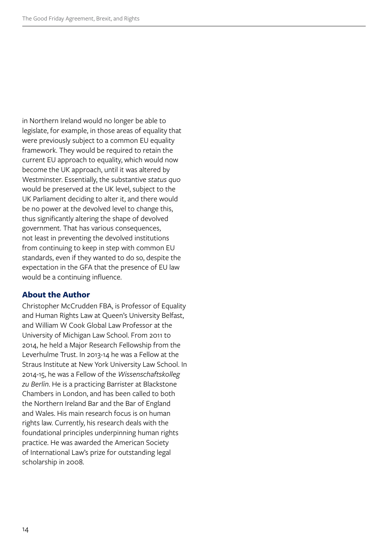in Northern Ireland would no longer be able to legislate, for example, in those areas of equality that were previously subject to a common EU equality framework. They would be required to retain the current EU approach to equality, which would now become the UK approach, until it was altered by Westminster. Essentially, the substantive *status quo* would be preserved at the UK level, subject to the UK Parliament deciding to alter it, and there would be no power at the devolved level to change this, thus significantly altering the shape of devolved government. That has various consequences, not least in preventing the devolved institutions from continuing to keep in step with common EU standards, even if they wanted to do so, despite the expectation in the GFA that the presence of EU law would be a continuing influence.

#### **About the Author**

Christopher McCrudden FBA, is Professor of Equality and Human Rights Law at Queen's University Belfast, and William W Cook Global Law Professor at the University of Michigan Law School. From 2011 to 2014, he held a Major Research Fellowship from the Leverhulme Trust. In 2013-14 he was a Fellow at the Straus Institute at New York University Law School. In 2014-15, he was a Fellow of the *Wissenschaftskolleg zu Berlin*. He is a practicing Barrister at Blackstone Chambers in London, and has been called to both the Northern Ireland Bar and the Bar of England and Wales. His main research focus is on human rights law. Currently, his research deals with the foundational principles underpinning human rights practice. He was awarded the American Society of International Law's prize for outstanding legal scholarship in 2008.